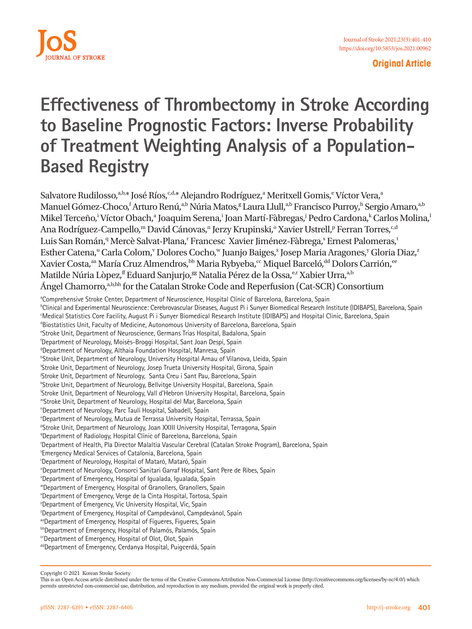

**Original Article**

# **Effectiveness of Thrombectomy in Stroke According to Baseline Prognostic Factors: Inverse Probability of Treatment Weighting Analysis of a Population-Based Registry**

Salvatore Rudilosso, a,b,\* José Ríos, c,d,\* Alejandro Rodríguez,<sup>a</sup> Meritxell Gomis,<sup>e</sup> Víctor Vera,<sup>a</sup> Manuel Gómez-Choco,<sup>f</sup> Arturo Renú,<sup>a,b</sup> Núria Matos,<sup>g</sup> Laura Llull,<sup>a,b</sup> Francisco Purroy,<sup>h</sup> Sergio Amaro,<sup>a,b</sup> Mikel Terceño,<sup>i</sup> Víctor Obach,<sup>a</sup> Joaquim Serena,<sup>i</sup> Joan Martí-Fàbregas,<sup>j</sup> Pedro Cardona,<sup>k</sup> Carlos Molina,<sup>l</sup> Ana Rodríguez-Campello,<sup>m</sup> David Cánovas,<sup>n</sup> Jerzy Krupinski,<sup>o</sup> Xavier Ustrell,<sup>p</sup> Ferran Torres,<sup>c,d</sup> Luis San Román,<sup>q</sup> Mercè Salvat-Plana,<sup>r</sup> Francesc Xavier Jiménez-Fàbrega,<sup>s</sup> Ernest Palomeras,<sup>t</sup> Esther Catena,<sup>u</sup> Carla Colom,<sup>v</sup> Dolores Cocho,<sup>w</sup> Juanjo Baiges,<sup>x</sup> Josep Maria Aragones,<sup>y</sup> Gloria Diaz,<sup>2</sup> Xavier Costa,<sup>aa</sup> María Cruz Almendros,<sup>bb</sup> Maria Rybyeba,<sup>cc</sup> Miquel Barceló,<sup>dd</sup> Dolors Carrión,<sup>ee</sup> Matilde Núria Lòpez, f<sup>f</sup> Eduard Sanjurjo,<sup>gg</sup> Natalia Pérez de la Ossa, <sup>e,r</sup> Xabier Urra, a,b Ángel Chamorro,a,b,hh for the Catalan Stroke Code and Reperfusion (Cat-SCR) Consortium

<sup>a</sup>Comprehensive Stroke Center, Department of Neuroscience, Hospital Clínic of Barcelona, Barcelona, Spain b Clinical and Experimental Neuroscience: Cerebrovascular Diseases, August Pi i Sunyer Biomedical Research Institute (IDIBAPS), Barcelona, Spain c Medical Statistics Core Facility, August Pi i Sunyer Biomedical Research Institute (IDIBAPS) and Hospital Clinic, Barcelona, Spain <sup>d</sup>Biostatistics Unit, Faculty of Medicine, Autonomous University of Barcelona, Barcelona, Spain e Stroke Unit, Department of Neuroscience, Germans Trias Hospital, Badalona, Spain f Department of Neurology, Moisès-Broggi Hospital, Sant Joan Despí, Spain <sup>9</sup>Department of Neurology, Althaia Foundation Hospital, Manresa, Spain h Stroke Unit, Department of Neurology, University Hospital Arnau of Vilanova, Lleida, Spain i Stroke Unit, Department of Neurology, Josep Trueta University Hospital, Girona, Spain <sup>j</sup>Stroke Unit, Department of Neurology, Santa Creu i Sant Pau, Barcelona, Spain k Stroke Unit, Department of Neurology, Bellvitge University Hospital, Barcelona, Spain l Stroke Unit, Department of Neurology, Vall d'Hebron University Hospital, Barcelona, Spain mStroke Unit, Department of Neurology, Hospital del Mar, Barcelona, Spain n Department of Neurology, Parc Taulí Hospital, Sabadell, Spain <sup>o</sup>Department of Neurology, Mutua de Terrassa University Hospital, Terrassa, Spain PStroke Unit, Department of Neurology, Joan XXIII University Hospital, Terragona, Spain <sup>q</sup>Department of Radiology, Hospital Clínic of Barcelona, Barcelona, Spain r Department of Health, Pla Director Malaltia Vascular Cerebral (Catalan Stroke Program), Barcelona, Spain s Emergency Medical Services of Catalonia, Barcelona, Spain t Department of Neurology, Hospital of Mataró, Mataró, Spain "Department of Neurology, Consorci Sanitari Garraf Hospital, Sant Pere de Ribes, Spain v Department of Emergency, Hospital of Igualada, Igualada, Spain w Department of Emergency, Hospital of Granollers, Granollers, Spain x Department of Emergency, Verge de la Cinta Hospital, Tortosa, Spain y Department of Emergency, Vic University Hospital, Vic, Spain <sup>2</sup>Department of Emergency, Hospital of Campdevànol, Campdevànol, Spain aaDepartment of Emergency, Hospital of Figueres, Figueres, Spain **bb** Department of Emergency, Hospital of Palamós, Palamós, Spain <sup>cc</sup>Department of Emergency, Hospital of Olot, Olot, Spain

ddDepartment of Emergency, Cerdanya Hospital, Puigcerdá, Spain

Copyright © 2021 Korean Stroke Society

This is an Open Access article distributed under the terms of the Creative Commons Attribution Non-Commercial License (http://creativecommons.org/licenses/by-nc/4.0/) which permits unrestricted non-commercial use, distribution, and reproduction in any medium, provided the original work is properly cited.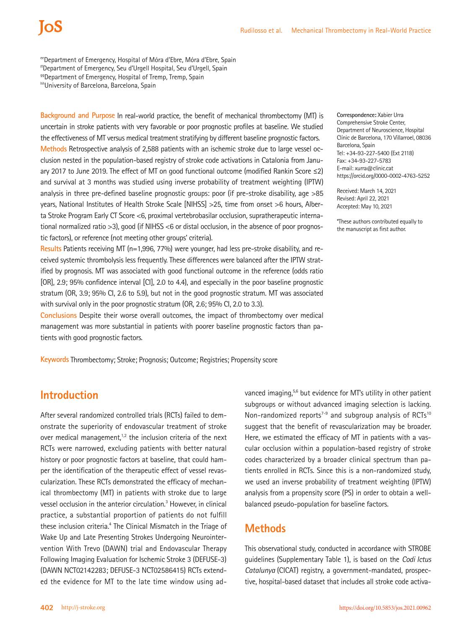eeDepartment of Emergency, Hospital of Móra d'Ebre, Móra d'Ebre, Spain

<sup>99</sup>Department of Emergency, Hospital of Tremp, Tremp, Spain

hhUniversity of Barcelona, Barcelona, Spain

**Background and Purpose** In real-world practice, the benefit of mechanical thrombectomy (MT) is uncertain in stroke patients with very favorable or poor prognostic profiles at baseline. We studied the effectiveness of MT versus medical treatment stratifying by different baseline prognostic factors. **Methods** Retrospective analysis of 2,588 patients with an ischemic stroke due to large vessel occlusion nested in the population-based registry of stroke code activations in Catalonia from January 2017 to June 2019. The effect of MT on good functional outcome (modified Rankin Score ≤2) and survival at 3 months was studied using inverse probability of treatment weighting (IPTW) analysis in three pre-defined baseline prognostic groups: poor (if pre-stroke disability, age >85 years, National Institutes of Health Stroke Scale [NIHSS] >25, time from onset >6 hours, Alberta Stroke Program Early CT Score <6, proximal vertebrobasilar occlusion, supratherapeutic international normalized ratio >3), good (if NIHSS <6 or distal occlusion, in the absence of poor prognostic factors), or reference (not meeting other groups' criteria).

**Results** Patients receiving MT (n=1,996, 77%) were younger, had less pre-stroke disability, and received systemic thrombolysis less frequently. These differences were balanced after the IPTW stratified by prognosis. MT was associated with good functional outcome in the reference (odds ratio [OR], 2.9; 95% confidence interval [CI], 2.0 to 4.4), and especially in the poor baseline prognostic stratum (OR, 3.9; 95% CI, 2.6 to 5.9), but not in the good prognostic stratum. MT was associated with survival only in the poor prognostic stratum (OR, 2.6; 95% Cl, 2.0 to 3.3).

**Conclusions** Despite their worse overall outcomes, the impact of thrombectomy over medical management was more substantial in patients with poorer baseline prognostic factors than patients with good prognostic factors.

**Keywords** Thrombectomy; Stroke; Prognosis; Outcome; Registries; Propensity score

**Correspondence:** Xabier Urra Comprehensive Stroke Center, Department of Neuroscience, Hospital Clínic de Barcelona, 170 Villarroel, 08036 Barcelona, Spain Tel: +34-93-227-5400 (Ext 2118) Fax: +34-93-227-5783 E-mail: [xurra@clinic.cat](mailto:xurra@clinic.cat) https://orcid.org/0000-0002-4763-5252

Received: March 14, 2021 Revised: April 22, 2021 Accepted: May 10, 2021

\*These authors contributed equally to the manuscript as first author.

# **Introduction**

After several randomized controlled trials (RCTs) failed to demonstrate the superiority of endovascular treatment of stroke over medical management, $1,2$  the inclusion criteria of the next RCTs were narrowed, excluding patients with better natural history or poor prognostic factors at baseline, that could hamper the identification of the therapeutic effect of vessel revascularization. These RCTs demonstrated the efficacy of mechanical thrombectomy (MT) in patients with stroke due to large vessel occlusion in the anterior circulation.<sup>3</sup> However, in clinical practice, a substantial proportion of patients do not fulfill these inclusion criteria.<sup>4</sup> The Clinical Mismatch in the Triage of Wake Up and Late Presenting Strokes Undergoing Neurointervention With Trevo (DAWN) trial and Endovascular Therapy Following Imaging Evaluation for Ischemic Stroke 3 (DEFUSE-3) (DAWN NCT02142283; DEFUSE-3 NCT02586415) RCTs extended the evidence for MT to the late time window using advanced imaging,<sup>5,6</sup> but evidence for MT's utility in other patient subgroups or without advanced imaging selection is lacking. Non-randomized reports<sup>7-9</sup> and subgroup analysis of RCTs<sup>10</sup> suggest that the benefit of revascularization may be broader. Here, we estimated the efficacy of MT in patients with a vascular occlusion within a population-based registry of stroke codes characterized by a broader clinical spectrum than patients enrolled in RCTs. Since this is a non-randomized study, we used an inverse probability of treatment weighting (IPTW) analysis from a propensity score (PS) in order to obtain a wellbalanced pseudo-population for baseline factors.

# **Methods**

This observational study, conducted in accordance with STROBE guidelines (Supplementary Table 1), is based on the *Codi Ictus Catalunya* (CICAT) registry, a government-mandated, prospective, hospital-based dataset that includes all stroke code activa-

ffDepartment of Emergency, Seu d'Urgell Hospital, Seu d'Urgell, Spain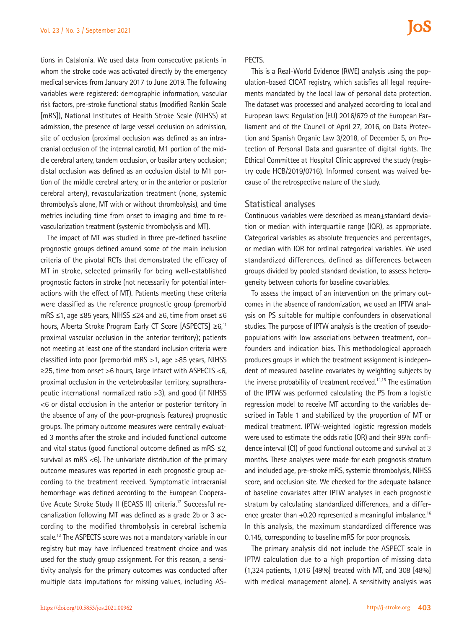tions in Catalonia. We used data from consecutive patients in whom the stroke code was activated directly by the emergency medical services from January 2017 to June 2019. The following variables were registered: demographic information, vascular risk factors, pre-stroke functional status (modified Rankin Scale [mRS]), National Institutes of Health Stroke Scale (NIHSS) at admission, the presence of large vessel occlusion on admission, site of occlusion (proximal occlusion was defined as an intracranial occlusion of the internal carotid, M1 portion of the middle cerebral artery, tandem occlusion, or basilar artery occlusion; distal occlusion was defined as an occlusion distal to M1 portion of the middle cerebral artery, or in the anterior or posterior cerebral artery), revascularization treatment (none, systemic thrombolysis alone, MT with or without thrombolysis), and time metrics including time from onset to imaging and time to revascularization treatment (systemic thrombolysis and MT).

The impact of MT was studied in three pre-defined baseline prognostic groups defined around some of the main inclusion criteria of the pivotal RCTs that demonstrated the efficacy of MT in stroke, selected primarily for being well-established prognostic factors in stroke (not necessarily for potential interactions with the effect of MT). Patients meeting these criteria were classified as the reference prognostic group (premorbid mRS ≤1, age ≤85 years, NIHSS ≤24 and ≥6, time from onset ≤6 hours, Alberta Stroke Program Early CT Score [ASPECTS] ≥6,<sup>11</sup> proximal vascular occlusion in the anterior territory); patients not meeting at least one of the standard inclusion criteria were classified into poor (premorbid mRS >1, age >85 years, NIHSS ≥25, time from onset >6 hours, large infarct with ASPECTS <6, proximal occlusion in the vertebrobasilar territory, supratherapeutic international normalized ratio >3), and good (if NIHSS <6 or distal occlusion in the anterior or posterior territory in the absence of any of the poor-prognosis features) prognostic groups. The primary outcome measures were centrally evaluated 3 months after the stroke and included functional outcome and vital status (good functional outcome defined as mRS ≤2, survival as mRS <6). The univariate distribution of the primary outcome measures was reported in each prognostic group according to the treatment received. Symptomatic intracranial hemorrhage was defined according to the European Cooperative Acute Stroke Study II (ECASS II) criteria.<sup>12</sup> Successful recanalization following MT was defined as a grade 2b or 3 according to the modified thrombolysis in cerebral ischemia scale.13 The ASPECTS score was not a mandatory variable in our registry but may have influenced treatment choice and was used for the study group assignment. For this reason, a sensitivity analysis for the primary outcomes was conducted after multiple data imputations for missing values, including AS-

#### PECTS.

This is a Real-World Evidence (RWE) analysis using the population-based CICAT registry, which satisfies all legal requirements mandated by the local law of personal data protection. The dataset was processed and analyzed according to local and European laws: Regulation (EU) 2016/679 of the European Parliament and of the Council of April 27, 2016, on Data Protection and Spanish Organic Law 3/2018, of December 5, on Protection of Personal Data and guarantee of digital rights. The Ethical Committee at Hospital Clínic approved the study (registry code HCB/2019/0716). Informed consent was waived because of the retrospective nature of the study.

### **Statistical analyses**

Continuous variables were described as mean±standard deviation or median with interquartile range (IQR), as appropriate. Categorical variables as absolute frequencies and percentages, or median with IQR for ordinal categorical variables. We used standardized differences, defined as differences between groups divided by pooled standard deviation, to assess heterogeneity between cohorts for baseline covariables.

To assess the impact of an intervention on the primary outcomes in the absence of randomization, we used an IPTW analysis on PS suitable for multiple confounders in observational studies. The purpose of IPTW analysis is the creation of pseudopopulations with low associations between treatment, confounders and indication bias. This methodological approach produces groups in which the treatment assignment is independent of measured baseline covariates by weighting subjects by the inverse probability of treatment received.<sup>14,15</sup> The estimation of the IPTW was performed calculating the PS from a logistic regression model to receive MT according to the variables described in Table 1 and stabilized by the proportion of MT or medical treatment. IPTW-weighted logistic regression models were used to estimate the odds ratio (OR) and their 95% confidence interval (CI) of good functional outcome and survival at 3 months. These analyses were made for each prognosis stratum and included age, pre-stroke mRS, systemic thrombolysis, NIHSS score, and occlusion site. We checked for the adequate balance of baseline covariates after IPTW analyses in each prognostic stratum by calculating standardized differences, and a difference greater than  $\pm 0.20$  represented a meaningful imbalance.<sup>16</sup> In this analysis, the maximum standardized difference was 0.145, corresponding to baseline mRS for poor prognosis.

The primary analysis did not include the ASPECT scale in IPTW calculation due to a high proportion of missing data (1,324 patients, 1,016 [49%] treated with MT, and 308 [48%] with medical management alone). A sensitivity analysis was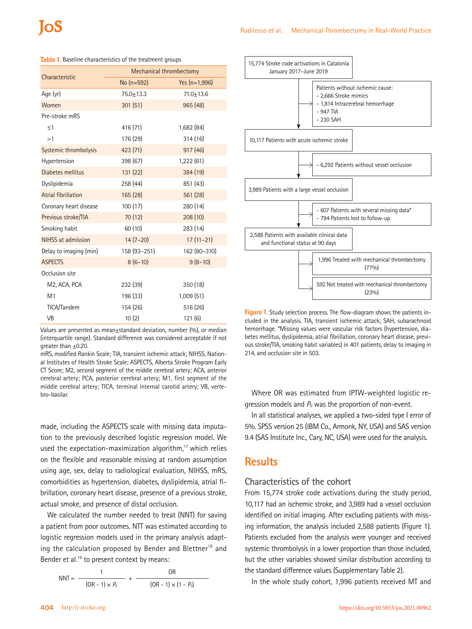|                           | Mechanical thrombectomy |                 |  |  |
|---------------------------|-------------------------|-----------------|--|--|
| Characteristic            | No (n=592)              | Yes $(n=1,996)$ |  |  |
| Age (yr)                  | $75.0 + 13.3$           | $71.0 + 13.6$   |  |  |
| Women                     | 301(51)                 | 965 (48)        |  |  |
| Pre-stroke mRS            |                         |                 |  |  |
| $\leq$ 1                  | 416 (71)                | 1,682 (84)      |  |  |
| >1                        | 176 (29)                | 314(16)         |  |  |
| Systemic thrombolysis     | 423 (71)                | 917(46)         |  |  |
| Hypertension              | 398 (67)                | 1,222 (61)      |  |  |
| Diabetes mellitus         | 131 (22)                | 384 (19)        |  |  |
| Dyslipidemia              | 258 (44)                | 851 (43)        |  |  |
| Atrial fibrillation       | 165(28)                 | 561 (28)        |  |  |
| Coronary heart disease    | 100(17)                 | 280 (14)        |  |  |
| Previous stroke/TIA       | 70 (12)                 | 208(10)         |  |  |
| Smoking habit             | 60 (10)                 | 283 (14)        |  |  |
| <b>NIHSS at admission</b> | $14(7-20)$              | $17(11-21)$     |  |  |
| Delay to imaging (min)    | 158 (93-251)            | 162 (80-310)    |  |  |
| <b>ASPECTS</b>            | $8(6-10)$               | $9(8-10)$       |  |  |
| Occlusion site            |                         |                 |  |  |
| M <sub>2</sub> , ACA, PCA | 232 (39)                | 350 (18)        |  |  |
| M1                        | 196 (33)                | 1,009(51)       |  |  |
| TICA/Tandem               | 154 (26)                | 516 (26)        |  |  |
| <b>VB</b>                 | 10(2)                   | 121(6)          |  |  |

**Table 1.** Baseline characteristics of the treatment groups

Values are presented as mean $\pm$ standard deviation, number (%), or median (interquartile range). Standard difference was considered acceptable if not qreater than  $+0.20$ .

mRS, modified Rankin Scale; TIA, transient ischemic attack; NIHSS, National Institutes of Health Stroke Scale; ASPECTS, Alberta Stroke Program Early CT Score; M2, second segment of the middle cerebral artery; ACA, anterior cerebral artery; PCA, posterior cerebral artery; M1, first segment of the middle cerebral artery; TICA, terminal internal carotid artery; VB, vertebro-basilar.

made, including the ASPECTS scale with missing data imputation to the previously described logistic regression model. We used the expectation-maximization algorithm, $17$  which relies on the flexible and reasonable missing at random assumption using age, sex, delay to radiological evaluation, NIHSS, mRS, comorbidities as hypertension, diabetes, dyslipidemia, atrial fibrillation, coronary heart disease, presence of a previous stroke, actual smoke, and presence of distal occlusion.

We calculated the number needed to treat (NNT) for saving a patient from poor outcomes. NTT was estimated according to logistic regression models used in the primary analysis adapting the calculation proposed by Bender and Blettner<sup>18</sup> and Bender et al. $^{19}$  to present context by means:

$$
NNT = \frac{1}{(OR - 1) \times P_0} + \frac{OR}{(OR - 1) \times (1 - P_0)}
$$



**Figure 1.** Study selection process. The flow-diagram shows the patients included in the analysis. TIA, transient ischemic attack; SAH, subarachnoid hemorrhage. \*Missing values were vascular risk factors (hypertension, diabetes mellitus, dyslipidemia, atrial fibrillation, coronary heart disease, previous stroke/TIA, smoking habit variables) in 401 patients, delay to imaging in 214, and occlusion site in 503.

Where OR was estimated from IPTW-weighted logistic regression models and  $P_0$  was the proportion of non-event.

In all statistical analyses, we applied a two-sided type I error of 5%. SPSS version 25 (IBM Co., Armonk, NY, USA) and SAS version 9.4 (SAS Institute Inc., Cary, NC, USA) were used for the analysis.

# **Results**

### **Characteristics of the cohort**

From 15,774 stroke code activations during the study period, 10,117 had an ischemic stroke, and 3,989 had a vessel occlusion identified on initial imaging. After excluding patients with missing information, the analysis included 2,588 patients (Figure 1). Patients excluded from the analysis were younger and received systemic thrombolysis in a lower proportion than those included, but the other variables showed similar distribution according to the standard difference values (Supplementary Table 2).

In the whole study cohort, 1,996 patients received MT and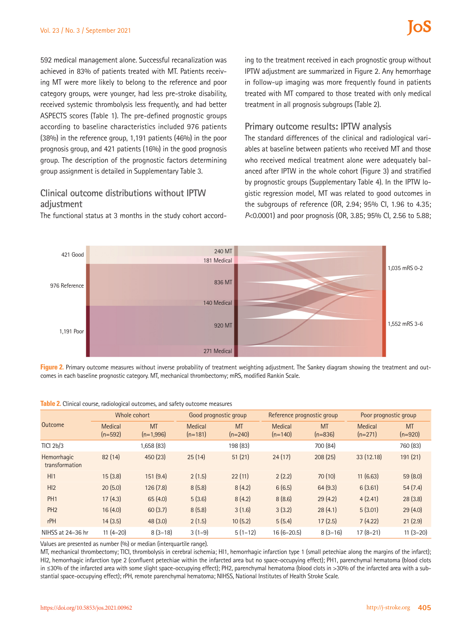592 medical management alone. Successful recanalization was achieved in 83% of patients treated with MT. Patients receiving MT were more likely to belong to the reference and poor category groups, were younger, had less pre-stroke disability, received systemic thrombolysis less frequently, and had better ASPECTS scores (Table 1). The pre-defined prognostic groups according to baseline characteristics included 976 patients (38%) in the reference group, 1,191 patients (46%) in the poor prognosis group, and 421 patients (16%) in the good prognosis group. The description of the prognostic factors determining group assignment is detailed in Supplementary Table 3.

## **Clinical outcome distributions without IPTW adjustment**

The functional status at 3 months in the study cohort accord-

ing to the treatment received in each prognostic group without IPTW adjustment are summarized in Figure 2. Any hemorrhage in follow-up imaging was more frequently found in patients treated with MT compared to those treated with only medical treatment in all prognosis subgroups (Table 2).

### **Primary outcome results: IPTW analysis**

The standard differences of the clinical and radiological variables at baseline between patients who received MT and those who received medical treatment alone were adequately balanced after IPTW in the whole cohort (Figure 3) and stratified by prognostic groups (Supplementary Table 4). In the IPTW logistic regression model, MT was related to good outcomes in the subgroups of reference (OR, 2.94; 95% CI, 1.96 to 4.35; *P*<0.0001) and poor prognosis (OR, 3.85; 95% CI, 2.56 to 5.88;



**Figure 2.** Primary outcome measures without inverse probability of treatment weighting adjustment. The Sankey diagram showing the treatment and outcomes in each baseline prognostic category. MT, mechanical thrombectomy; mRS, modified Rankin Scale.

| Outcome                       | Whole cohort                |                          | Good prognostic group       |                        | Reference prognostic group  |                        | Poor prognostic group       |                        |
|-------------------------------|-----------------------------|--------------------------|-----------------------------|------------------------|-----------------------------|------------------------|-----------------------------|------------------------|
|                               | <b>Medical</b><br>$(n=592)$ | <b>MT</b><br>$(n=1,996)$ | <b>Medical</b><br>$(n=181)$ | <b>MT</b><br>$(n=240)$ | <b>Medical</b><br>$(n=140)$ | <b>MT</b><br>$(n=836)$ | <b>Medical</b><br>$(n=271)$ | <b>MT</b><br>$(n=920)$ |
| <b>TICI 2b/3</b>              |                             | 1,658 (83)               |                             | 198 (83)               |                             | 700 (84)               |                             | 760 (83)               |
| Hemorrhagic<br>transformation | 82(14)                      | 450 (23)                 | 25(14)                      | 51(21)                 | 24(17)                      | 208(25)                | 33 (12.18)                  | 191 (21)               |
| H11                           | 15(3.8)                     | 151(9.4)                 | 2(1.5)                      | 22(11)                 | 2(2.2)                      | 70(10)                 | 11(6.63)                    | 59(8.0)                |
| H <sub>12</sub>               | 20(5.0)                     | 126(7.8)                 | 8(5.8)                      | 8(4.2)                 | 6(6.5)                      | 64(9.3)                | 6(3.61)                     | 54(7.4)                |
| PH <sub>1</sub>               | 17(4.3)                     | 65(4.0)                  | 5(3.6)                      | 8(4.2)                 | 8(8.6)                      | 29(4.2)                | 4(2.41)                     | 28(3.8)                |
| PH <sub>2</sub>               | 16(4.0)                     | 60(3.7)                  | 8(5.8)                      | 3(1.6)                 | 3(3.2)                      | 28(4.1)                | 5(3.01)                     | 29(4.0)                |
| rPH                           | 14(3.5)                     | 48(3.0)                  | 2(1.5)                      | 10(5.2)                | 5(5.4)                      | 17(2.5)                | 7(4.22)                     | 21(2.9)                |
| NIHSS at 24-36 hr             | $11(4-20)$                  | $8(3-18)$                | $3(1-9)$                    | $5(1-12)$              | $16(6-20.5)$                | $8(3-16)$              | $17(8-21)$                  | $11(3-20)$             |

**Table 2.** Clinical course, radiological outcomes, and safety outcome measures

Values are presented as number (%) or median (interquartile range).

MT, mechanical thrombectomy; TICI, thrombolysis in cerebral ischemia; HI1, hemorrhagic infarction type 1 (small petechiae along the margins of the infarct); HI2, hemorrhagic infarction type 2 (confluent petechiae within the infarcted area but no space-occupying effect); PH1, parenchymal hematoma (blood clots in ≤30% of the infarcted area with some slight space-occupying effect); PH2, parenchymal hematoma (blood clots in >30% of the infarcted area with a substantial space-occupying effect); rPH, remote parenchymal hematoma; NIHSS, National Institutes of Health Stroke Scale.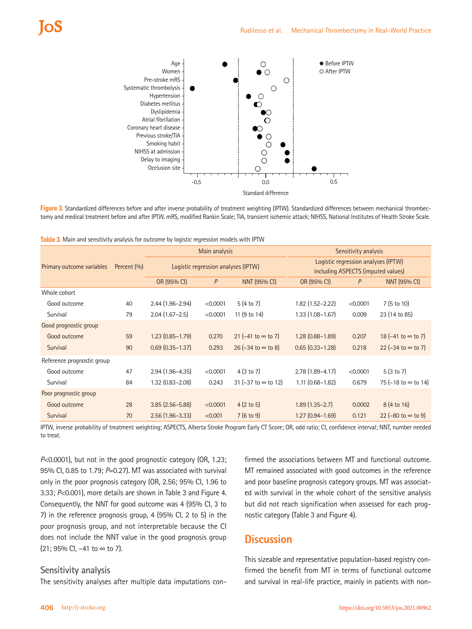

**Figure 3.** Standardized differences before and after inverse probability of treatment weighting (IPTW). Standardized differences between mechanical thrombectomy and medical treatment before and after IPTW. mRS, modified Rankin Scale; TIA, transient ischemic attack; NIHSS, National Institutes of Health Stroke Scale.

|  |  |  | Table 3. Main and sensitivity analysis for outcome by logistic regression models with IPTW |
|--|--|--|--------------------------------------------------------------------------------------------|
|--|--|--|--------------------------------------------------------------------------------------------|

|                            |             | Main analysis                       |          |                                              | Sensitivity analysis                                                      |          |                                             |
|----------------------------|-------------|-------------------------------------|----------|----------------------------------------------|---------------------------------------------------------------------------|----------|---------------------------------------------|
| Primary outcome variables  | Percent (%) | Logistic regression analyses (IPTW) |          |                                              | Logistic regression analyses (IPTW)<br>including ASPECTS (imputed values) |          |                                             |
|                            |             | OR (95% CI)                         | P        | <b>NNT (95% CI)</b>                          | OR (95% CI)                                                               | P        | <b>NNT (95% CI)</b>                         |
| Whole cohort               |             |                                     |          |                                              |                                                                           |          |                                             |
| Good outcome               | 40          | $2.44(1.96 - 2.94)$                 | < 0.0001 | 5(4 to 7)                                    | $1.82$ (1.52-2.22)                                                        | < 0.0001 | 7(5 to 10)                                  |
| Survival                   | 79          | $2.04(1.67-2.5)$                    | < 0.0001 | 11 (9 to 14)                                 | $1.33(1.08 - 1.67)$                                                       | 0.009    | 23 (14 to 85)                               |
| Good prognostic group      |             |                                     |          |                                              |                                                                           |          |                                             |
| Good outcome               | 59          | $1.23(0.85 - 1.79)$                 | 0.270    | 21 (−41 to $\infty$ to 7)                    | $1.28(0.88 - 1.89)$                                                       | 0.207    | 18 ( $-41$ to ∞ to 7)                       |
| Survival                   | 90          | $0.69$ $(0.35 - 1.37)$              | 0.293    | $26$ (-34 to $\infty$ to 8)                  | $0.65$ $(0.33 - 1.28)$                                                    | 0.218    | 22 $(-34 \text{ to } \infty \text{ to } 7)$ |
| Reference prognostic group |             |                                     |          |                                              |                                                                           |          |                                             |
| Good outcome               | 47          | $2.94(1.96 - 4.35)$                 | < 0.0001 | 4(3 to 7)                                    | $2.78(1.89 - 4.17)$                                                       | < 0.0001 | 5(3 to 7)                                   |
| Survival                   | 84          | $1.32(0.83 - 2.08)$                 | 0.243    | 31 $(-37 \text{ to } \infty \text{ to } 12)$ | $1.11(0.68 - 1.82)$                                                       | 0.679    | 75 ( $-18$ to $\infty$ to 14)               |
| Poor prognostic group      |             |                                     |          |                                              |                                                                           |          |                                             |
| Good outcome               | 28          | $3.85(2.56 - 5.88)$                 | < 0.0001 | $4(2 \text{ to } 5)$                         | $1.89(1.35 - 2.7)$                                                        | 0.0002   | 8 (4 to 16)                                 |
| Survival                   | 70          | $2.56(1.96-3.33)$                   | < 0.001  | 7(6 to 9)                                    | $1.27(0.94 - 1.69)$                                                       | 0.121    | 22 $(-80 \text{ to } \infty \text{ to } 9)$ |

IPTW, inverse probability of treatment weighting; ASPECTS, Alberta Stroke Program Early CT Score; OR, odd ratio; CI, confidence interval; NNT, number needed to treat.

*P*<0.0001), but not in the good prognostic category (OR, 1.23; 95% CI, 0.85 to 1.79; *P*=0.27). MT was associated with survival only in the poor prognosis category (OR, 2.56; 95% CI, 1.96 to 3.33; *P*<0.001), more details are shown in Table 3 and Figure 4. Consequently, the NNT for good outcome was 4 (95% CI, 3 to 7) in the reference prognosis group, 4 (95% CI, 2 to 5) in the poor prognosis group, and not interpretable because the CI does not include the NNT value in the good prognosis group (21; 95% CI, –41 to ∞ to 7).

## **Sensitivity analysis**

The sensitivity analyses after multiple data imputations con-

firmed the associations between MT and functional outcome. MT remained associated with good outcomes in the reference and poor baseline prognosis category groups. MT was associated with survival in the whole cohort of the sensitive analysis but did not reach signification when assessed for each prognostic category (Table 3 and Figure 4).

## **Discussion**

This sizeable and representative population-based registry confirmed the benefit from MT in terms of functional outcome and survival in real-life practice, mainly in patients with non-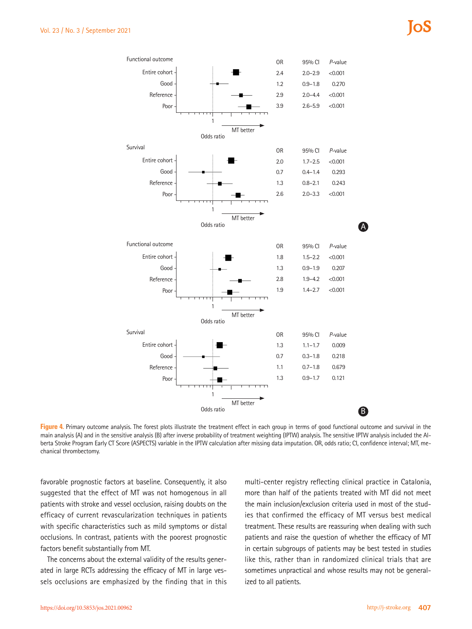

Figure 4. Primary outcome analysis. The forest plots illustrate the treatment effect in each group in terms of good functional outcome and survival in the main analysis (A) and in the sensitive analysis (B) after inverse probability of treatment weighting (IPTW) analysis. The sensitive IPTW analysis included the Alberta Stroke Program Early CT Score (ASPECTS) variable in the IPTW calculation after missing data imputation. OR, odds ratio; CI, confidence interval; MT, mechanical thrombectomy.

favorable prognostic factors at baseline. Consequently, it also suggested that the effect of MT was not homogenous in all patients with stroke and vessel occlusion, raising doubts on the efficacy of current revascularization techniques in patients with specific characteristics such as mild symptoms or distal occlusions. In contrast, patients with the poorest prognostic factors benefit substantially from MT.

The concerns about the external validity of the results generated in large RCTs addressing the efficacy of MT in large vessels occlusions are emphasized by the finding that in this

multi-center registry reflecting clinical practice in Catalonia, more than half of the patients treated with MT did not meet the main inclusion/exclusion criteria used in most of the studies that confirmed the efficacy of MT versus best medical treatment. These results are reassuring when dealing with such patients and raise the question of whether the efficacy of MT in certain subgroups of patients may be best tested in studies like this, rather than in randomized clinical trials that are sometimes unpractical and whose results may not be generalized to all patients.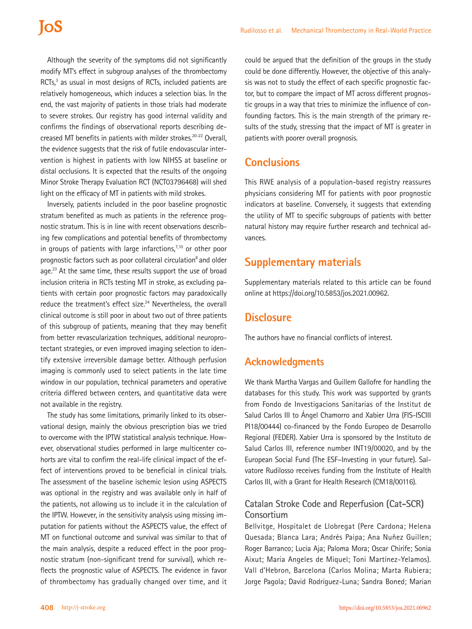Although the severity of the symptoms did not significantly modify MT's effect in subgroup analyses of the thrombectomy RCTs,<sup>3</sup> as usual in most designs of RCTs, included patients are relatively homogeneous, which induces a selection bias. In the end, the vast majority of patients in those trials had moderate to severe strokes. Our registry has good internal validity and confirms the findings of observational reports describing decreased MT benefits in patients with milder strokes.<sup>20-22</sup> Overall, the evidence suggests that the risk of futile endovascular intervention is highest in patients with low NIHSS at baseline or distal occlusions. It is expected that the results of the ongoing Minor Stroke Therapy Evaluation RCT (NCT03796468) will shed light on the efficacy of MT in patients with mild strokes.

Inversely, patients included in the poor baseline prognostic stratum benefited as much as patients in the reference prognostic stratum. This is in line with recent observations describing few complications and potential benefits of thrombectomy in groups of patients with large infarctions, $7,10$  or other poor prognostic factors such as poor collateral circulation<sup>8</sup> and older age.<sup>23</sup> At the same time, these results support the use of broad inclusion criteria in RCTs testing MT in stroke, as excluding patients with certain poor prognostic factors may paradoxically reduce the treatment's effect size.<sup>24</sup> Nevertheless, the overall clinical outcome is still poor in about two out of three patients of this subgroup of patients, meaning that they may benefit from better revascularization techniques, additional neuroprotectant strategies, or even improved imaging selection to identify extensive irreversible damage better. Although perfusion imaging is commonly used to select patients in the late time window in our population, technical parameters and operative criteria differed between centers, and quantitative data were not available in the registry.

The study has some limitations, primarily linked to its observational design, mainly the obvious prescription bias we tried to overcome with the IPTW statistical analysis technique. However, observational studies performed in large multicenter cohorts are vital to confirm the real-life clinical impact of the effect of interventions proved to be beneficial in clinical trials. The assessment of the baseline ischemic lesion using ASPECTS was optional in the registry and was available only in half of the patients, not allowing us to include it in the calculation of the IPTW. However, in the sensitivity analysis using missing imputation for patients without the ASPECTS value, the effect of MT on functional outcome and survival was similar to that of the main analysis, despite a reduced effect in the poor prognostic stratum (non-significant trend for survival), which reflects the prognostic value of ASPECTS. The evidence in favor of thrombectomy has gradually changed over time, and it

could be argued that the definition of the groups in the study could be done differently. However, the objective of this analysis was not to study the effect of each specific prognostic factor, but to compare the impact of MT across different prognostic groups in a way that tries to minimize the influence of confounding factors. This is the main strength of the primary results of the study, stressing that the impact of MT is greater in patients with poorer overall prognosis.

# **Conclusions**

This RWE analysis of a population-based registry reassures physicians considering MT for patients with poor prognostic indicators at baseline. Conversely, it suggests that extending the utility of MT to specific subgroups of patients with better natural history may require further research and technical advances.

# **Supplementary materials**

Supplementary materials related to this article can be found online at https://doi.org/10.5853/jos.2021.00962.

# **Disclosure**

The authors have no financial conflicts of interest.

## **Acknowledgments**

We thank Martha Vargas and Guillem Gallofre for handling the databases for this study. This work was supported by grants from Fondo de Investigacions Sanitarias of the Institut de Salud Carlos III to Ángel Chamorro and Xabier Urra (FIS-ISCIII PI18/00444) co-financed by the Fondo Europeo de Desarrollo Regional (FEDER). Xabier Urra is sponsored by the Instituto de Salud Carlos III, reference number INT19/00020, and by the European Social Fund (The ESF–Investing in your future). Salvatore Rudilosso receives funding from the Institute of Health Carlos III, with a Grant for Health Research (CM18/00116).

## **Catalan Stroke Code and Reperfusion (Cat-SCR) Consortium**

Bellvitge, Hospitalet de Llobregat (Pere Cardona; Helena Quesada; Blanca Lara; Andrés Paipa; Ana Nuñez Guillen; Roger Barranco; Lucia Aja; Paloma Mora; Oscar Chirife; Sonia Aixut; Maria Angeles de Miquel; Toni Martínez-Yelamos). Vall d'Hebron, Barcelona (Carlos Molina; Marta Rubiera; Jorge Pagola; David Rodríguez-Luna; Sandra Boned; Marian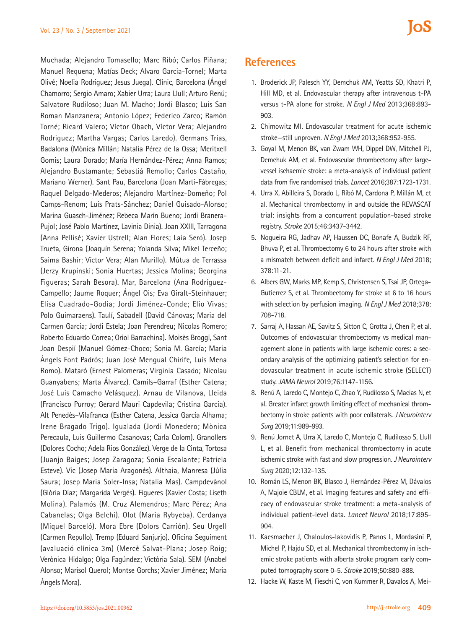Muchada; Alejandro Tomasello; Marc Ribó; Carlos Piñana; Manuel Requena; Matías Deck; Alvaro Garcia-Tornel; Marta Olivé; Noelia Rodriguez; Jesus Juega). Clínic, Barcelona (Ángel Chamorro; Sergio Amaro; Xabier Urra; Laura Llull; Arturo Renú; Salvatore Rudiloso; Juan M. Macho; Jordi Blasco; Luis San Roman Manzanera; Antonio López; Federico Zarco; Ramón Torné; Ricard Valero; Víctor Obach, Víctor Vera; Alejandro Rodriguez; Martha Vargas; Carlos Laredo). Germans Trias, Badalona (Mònica Millán; Natalia Pérez de la Ossa; Meritxell Gomis; Laura Dorado; María Hernández-Pérez; Anna Ramos; Alejandro Bustamante; Sebastiá Remollo; Carlos Castaño, Mariano Werner). Sant Pau, Barcelona (Joan Martí-Fàbregas; Raquel Delgado-Mederos; Alejandro Martínez-Domeño; Pol Camps-Renom; Luis Prats-Sánchez; Daniel Guisado-Alonso; Marina Guasch-Jiménez; Rebeca Marín Bueno; Jordi Branera-Pujol; José Pablo Martínez, Lavinia Dinia). Joan XXIII, Tarragona (Anna Pellisé; Xavier Ustrell; Alan Flores; Laia Seró). Josep Trueta, Girona (Joaquín Serena; Yolanda Silva; Mikel Terceño; Saima Bashir; Víctor Vera; Alan Murillo). Mútua de Terrassa (Jerzy Krupinski; Sonia Huertas; Jessica Molina; Georgina Figueras; Sarah Besora). Mar, Barcelona (Ana Rodríguez-Campello; Jaume Roquer; Ángel Ois; Eva Giralt-Steinhauer; Elisa Cuadrado-Godia; Jordi Jiménez-Conde; Elio Vivas; Polo Guimaraens). Taulí, Sabadell (David Cánovas; Maria del Carmen Garcia; Jordi Estela; Joan Perendreu; Nicolas Romero; Roberto Eduardo Correa; Oriol Barrachina). Moisès Broggi, Sant Joan Despií (Manuel Gómez-Choco; Sonia M. García; Maria Àngels Font Padrós; Juan José Mengual Chirife, Luis Mena Romo). Mataró (Ernest Palomeras; Virginia Casado; Nicolau Guanyabens; Marta Álvarez). Camils–Garraf (Esther Catena; José Luis Camacho Velásquez). Arnau de Vilanova, Lleida (Francisco Purroy; Gerard Mauri Capdevila; Cristina Garcia). Alt Penedès–Vilafranca (Esther Catena, Jessica García Alhama; Irene Bragado Trigo). Igualada (Jordi Monedero; Mònica Perecaula, Luis Guillermo Casanovas; Carla Colom). Granollers (Dolores Cocho; Adela Rios González). Verge de la Cinta, Tortosa (Juanjo Baiges; Josep Zaragoza; Sonia Escalante; Patricia Esteve). Vic (Josep Maria Aragonés). Althaia, Manresa (Júlia Saura; Josep Maria Soler-Insa; Natalia Mas). Campdevànol (Glòria Diaz; Margarida Vergés). Figueres (Xavier Costa; Liseth Molina). Palamós (M. Cruz Alemendros; Marc Pérez; Ana Cabanelas; Olga Belchi). Olot (Maria Rybyeba). Cerdanya (Miquel Barceló). Mora Ebre (Dolors Carrión). Seu Urgell (Carmen Repullo). Tremp (Eduard Sanjurjo). Oficina Seguiment (avaluació clínica 3m) (Mercè Salvat-Plana; Josep Roig; Verònica Hidalgo; Olga Fagúndez; Victòria Sala). SEM (Anabel Alonso; Marisol Querol; Montse Gorchs; Xavier Jiménez; Maria Àngels Mora).

# **References**

- 1. Broderick JP, Palesch YY, Demchuk AM, Yeatts SD, Khatri P, Hill MD, et al. Endovascular therapy after intravenous t-PA versus t-PA alone for stroke. *N Engl J Med* 2013;368:893- 903.
- 2. Chimowitz MI. Endovascular treatment for acute ischemic stroke—still unproven. *N Engl J Med* 2013;368:952-955.
- 3. Goyal M, Menon BK, van Zwam WH, Dippel DW, Mitchell PJ, Demchuk AM, et al. Endovascular thrombectomy after largevessel ischaemic stroke: a meta-analysis of individual patient data from five randomised trials. *Lancet* 2016;387:1723-1731.
- 4. Urra X, Abilleira S, Dorado L, Ribó M, Cardona P, Millán M, et al. Mechanical thrombectomy in and outside the REVASCAT trial: insights from a concurrent population-based stroke registry. *Stroke* 2015;46:3437-3442.
- 5. Nogueira RG, Jadhav AP, Haussen DC, Bonafe A, Budzik RF, Bhuva P, et al. Thrombectomy 6 to 24 hours after stroke with a mismatch between deficit and infarct. *N Engl J Med* 2018; 378:11-21.
- 6. Albers GW, Marks MP, Kemp S, Christensen S, Tsai JP, Ortega-Gutierrez S, et al. Thrombectomy for stroke at 6 to 16 hours with selection by perfusion imaging. *N Engl J Med* 2018;378: 708-718.
- 7. Sarraj A, Hassan AE, Savitz S, Sitton C, Grotta J, Chen P, et al. Outcomes of endovascular thrombectomy vs medical management alone in patients with large ischemic cores: a secondary analysis of the optimizing patient's selection for endovascular treatment in acute ischemic stroke (SELECT) study. *JAMA Neurol* 2019;76:1147-1156.
- 8. Renú A, Laredo C, Montejo C, Zhao Y, Rudilosso S, Macias N, et al. Greater infarct growth limiting effect of mechanical thrombectomy in stroke patients with poor collaterals. *J Neurointerv Surg* 2019;11:989-993.
- 9. Renú Jornet A, Urra X, Laredo C, Montejo C, Rudilosso S, Llull L, et al. Benefit from mechanical thrombectomy in acute ischemic stroke with fast and slow progression. *J Neurointerv Surg* 2020;12:132-135.
- 10. Román LS, Menon BK, Blasco J, Hernández-Pérez M, Dávalos A, Majoie CBLM, et al. Imaging features and safety and efficacy of endovascular stroke treatment: a meta-analysis of individual patient-level data. *Lancet Neurol* 2018;17:895- 904.
- 11. Kaesmacher J, Chaloulos-Iakovidis P, Panos L, Mordasini P, Michel P, Hajdu SD, et al. Mechanical thrombectomy in ischemic stroke patients with alberta stroke program early computed tomography score 0-5. *Stroke* 2019;50:880-888.
- 12. Hacke W, Kaste M, Fieschi C, von Kummer R, Davalos A, Mei-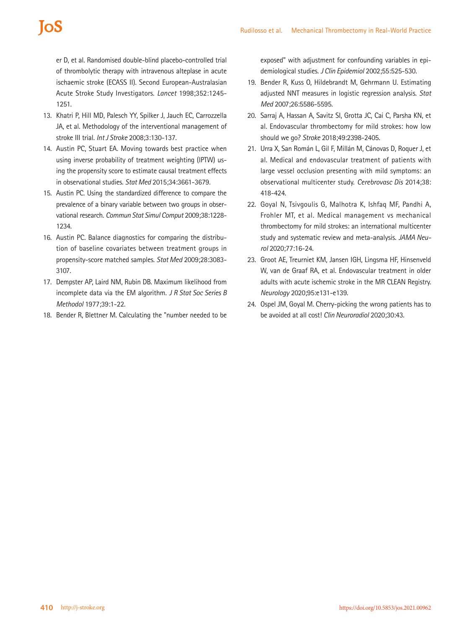er D, et al. Randomised double-blind placebo-controlled trial of thrombolytic therapy with intravenous alteplase in acute ischaemic stroke (ECASS II). Second European-Australasian Acute Stroke Study Investigators. *Lancet* 1998;352:1245- 1251.

- 13. Khatri P, Hill MD, Palesch YY, Spilker J, Jauch EC, Carrozzella JA, et al. Methodology of the interventional management of stroke III trial. *Int J Stroke* 2008;3:130-137.
- 14. Austin PC, Stuart EA. Moving towards best practice when using inverse probability of treatment weighting (IPTW) using the propensity score to estimate causal treatment effects in observational studies. *Stat Med* 2015;34:3661-3679.
- 15. Austin PC. Using the standardized difference to compare the prevalence of a binary variable between two groups in observational research. *Commun Stat Simul Comput* 2009;38:1228- 1234.
- 16. Austin PC. Balance diagnostics for comparing the distribution of baseline covariates between treatment groups in propensity-score matched samples. *Stat Med* 2009;28:3083- 3107.
- 17. Dempster AP, Laird NM, Rubin DB. Maximum likelihood from incomplete data via the EM algorithm. *J R Stat Soc Series B Methodol* 1977;39:1-22.
- 18. Bender R, Blettner M. Calculating the "number needed to be

exposed" with adjustment for confounding variables in epidemiological studies. *J Clin Epidemiol* 2002;55:525-530.

- 19. Bender R, Kuss O, Hildebrandt M, Gehrmann U. Estimating adjusted NNT measures in logistic regression analysis. *Stat Med* 2007;26:5586-5595.
- 20. Sarraj A, Hassan A, Savitz SI, Grotta JC, Cai C, Parsha KN, et al. Endovascular thrombectomy for mild strokes: how low should we go? *Stroke* 2018;49:2398-2405.
- 21. Urra X, San Román L, Gil F, Millán M, Cánovas D, Roquer J, et al. Medical and endovascular treatment of patients with large vessel occlusion presenting with mild symptoms: an observational multicenter study. *Cerebrovasc Dis* 2014;38: 418-424.
- 22. Goyal N, Tsivgoulis G, Malhotra K, Ishfaq MF, Pandhi A, Frohler MT, et al. Medical management vs mechanical thrombectomy for mild strokes: an international multicenter study and systematic review and meta-analysis. *JAMA Neurol* 2020;77:16-24.
- 23. Groot AE, Treurniet KM, Jansen IGH, Lingsma HF, Hinsenveld W, van de Graaf RA, et al. Endovascular treatment in older adults with acute ischemic stroke in the MR CLEAN Registry. *Neurology* 2020;95:e131-e139.
- 24. Ospel JM, Goyal M. Cherry-picking the wrong patients has to be avoided at all cost! *Clin Neuroradiol* 2020;30:43.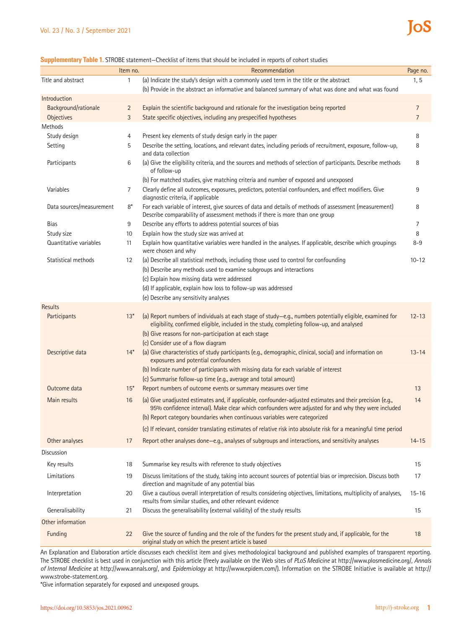#### **Supplementary Table 1.** STROBE statement—Checklist of items that should be included in reports of cohort studies

|                          | Item no.       | Recommendation                                                                                                                                                                                                    | Page no.       |
|--------------------------|----------------|-------------------------------------------------------------------------------------------------------------------------------------------------------------------------------------------------------------------|----------------|
| Title and abstract       | 1              | (a) Indicate the study's design with a commonly used term in the title or the abstract                                                                                                                            | 1, 5           |
|                          |                | (b) Provide in the abstract an informative and balanced summary of what was done and what was found                                                                                                               |                |
| Introduction             |                |                                                                                                                                                                                                                   |                |
| Background/rationale     | $\overline{2}$ | Explain the scientific background and rationale for the investigation being reported                                                                                                                              | $\overline{7}$ |
| <b>Objectives</b>        | 3              | State specific objectives, including any prespecified hypotheses                                                                                                                                                  | $\overline{7}$ |
| Methods                  |                |                                                                                                                                                                                                                   |                |
| Study design             | 4              | Present key elements of study design early in the paper                                                                                                                                                           | 8              |
| Setting                  | 5              | Describe the setting, locations, and relevant dates, including periods of recruitment, exposure, follow-up,<br>and data collection                                                                                | 8              |
| Participants             | 6              | (a) Give the eligibility criteria, and the sources and methods of selection of participants. Describe methods<br>of follow-up                                                                                     | 8              |
|                          |                | (b) For matched studies, give matching criteria and number of exposed and unexposed                                                                                                                               |                |
| Variables                | 7              | Clearly define all outcomes, exposures, predictors, potential confounders, and effect modifiers. Give<br>diagnostic criteria, if applicable                                                                       | 9              |
| Data sources/measurement | $8*$           | For each variable of interest, give sources of data and details of methods of assessment (measurement)<br>Describe comparability of assessment methods if there is more than one group                            | 8              |
| Bias                     | 9              | Describe any efforts to address potential sources of bias                                                                                                                                                         | 7              |
| Study size               | 10             | Explain how the study size was arrived at                                                                                                                                                                         | 8              |
| Quantitative variables   | 11             | Explain how quantitative variables were handled in the analyses. If applicable, describe which groupings<br>were chosen and why                                                                                   | $8 - 9$        |
| Statistical methods      | 12             | (a) Describe all statistical methods, including those used to control for confounding                                                                                                                             | $10 - 12$      |
|                          |                | (b) Describe any methods used to examine subgroups and interactions                                                                                                                                               |                |
|                          |                | (c) Explain how missing data were addressed                                                                                                                                                                       |                |
|                          |                | (d) If applicable, explain how loss to follow-up was addressed<br>(e) Describe any sensitivity analyses                                                                                                           |                |
| Results                  |                |                                                                                                                                                                                                                   |                |
| Participants             | $13*$          | (a) Report numbers of individuals at each stage of study-e.g., numbers potentially eligible, examined for<br>eligibility, confirmed eligible, included in the study, completing follow-up, and analysed           | $12 - 13$      |
|                          |                | (b) Give reasons for non-participation at each stage                                                                                                                                                              |                |
|                          |                | (c) Consider use of a flow diagram                                                                                                                                                                                |                |
| Descriptive data         | $14*$          | (a) Give characteristics of study participants (e.g., demographic, clinical, social) and information on<br>exposures and potential confounders                                                                    | $13 - 14$      |
|                          |                | (b) Indicate number of participants with missing data for each variable of interest                                                                                                                               |                |
|                          |                | (c) Summarise follow-up time (e.g., average and total amount)                                                                                                                                                     |                |
| Outcome data             | $15*$          | Report numbers of outcome events or summary measures over time                                                                                                                                                    | 13             |
| Main results             | 16             | (a) Give unadjusted estimates and, if applicable, confounder-adjusted estimates and their precision (e.g.,<br>95% confidence interval). Make clear which confounders were adjusted for and why they were included | 14             |
|                          |                | (b) Report category boundaries when continuous variables were categorized                                                                                                                                         |                |
|                          |                | (c) If relevant, consider translating estimates of relative risk into absolute risk for a meaningful time period                                                                                                  |                |
| Other analyses           | 17             | Report other analyses done-e.g., analyses of subgroups and interactions, and sensitivity analyses                                                                                                                 | $14 - 15$      |
| <b>Discussion</b>        |                |                                                                                                                                                                                                                   |                |
| Key results              | 18             | Summarise key results with reference to study objectives                                                                                                                                                          | 15             |
| Limitations              | 19             | Discuss limitations of the study, taking into account sources of potential bias or imprecision. Discuss both                                                                                                      | 17             |
|                          |                | direction and magnitude of any potential bias                                                                                                                                                                     |                |
| Interpretation           | 20             | Give a cautious overall interpretation of results considering objectives, limitations, multiplicity of analyses,<br>results from similar studies, and other relevant evidence                                     | $15 - 16$      |
| Generalisability         | 21             | Discuss the generalisability (external validity) of the study results                                                                                                                                             | 15             |
| Other information        |                |                                                                                                                                                                                                                   |                |
| Funding                  | 22             | Give the source of funding and the role of the funders for the present study and, if applicable, for the<br>original study on which the present article is based                                                  | 18             |

An Explanation and Elaboration article discusses each checklist item and gives methodological background and published examples of transparent reporting. The STROBE checklist is best used in conjunction with this article (freely available on the Web sites of *PLoS Medicine* at http://www.plosmedicine.org/, *Annals of Internal Medicine* at http://www.annals.org/, and *Epidemiology* at http://www.epidem.com/). Information on the STROBE Initiative is available at http:// www.strobe-statement.org.

\*Give information separately for exposed and unexposed groups.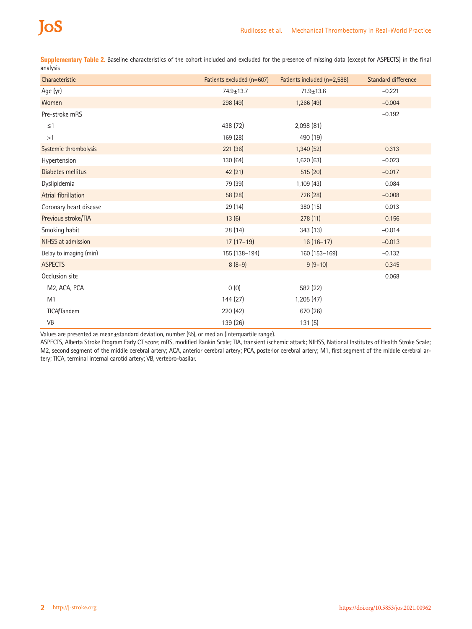# **ToS**

**Supplementary Table 2.** Baseline characteristics of the cohort included and excluded for the presence of missing data (except for ASPECTS) in the final analysis

| Characteristic            | Patients excluded (n=607) | Patients included (n=2,588) | Standard difference |
|---------------------------|---------------------------|-----------------------------|---------------------|
| Age (yr)                  | $74.9 \pm 13.7$           | $71.9 \pm 13.6$             | $-0.221$            |
| Women                     | 298 (49)                  | 1,266(49)                   | $-0.004$            |
| Pre-stroke mRS            |                           |                             | $-0.192$            |
| $\leq$ 1                  | 438 (72)                  | 2,098 (81)                  |                     |
| >1                        | 169 (28)                  | 490 (19)                    |                     |
| Systemic thrombolysis     | 221 (36)                  | 1,340 (52)                  | 0.313               |
| Hypertension              | 130 (64)                  | 1,620 (63)                  | $-0.023$            |
| Diabetes mellitus         | 42 (21)                   | 515 (20)                    | $-0.017$            |
| Dyslipidemia              | 79 (39)                   | 1,109(43)                   | 0.084               |
| Atrial fibrillation       | 58 (28)                   | 726 (28)                    | $-0.008$            |
| Coronary heart disease    | 29 (14)                   | 380 (15)                    | 0.013               |
| Previous stroke/TIA       | 13(6)                     | 278(11)                     | 0.156               |
| Smoking habit             | 28 (14)                   | 343 (13)                    | $-0.014$            |
| NIHSS at admission        | $17(17-19)$               | $16(16-17)$                 | $-0.013$            |
| Delay to imaging (min)    | 155 (138-194)             | 160 (153-169)               | $-0.132$            |
| <b>ASPECTS</b>            | $8(8-9)$                  | $9(9-10)$                   | 0.345               |
| Occlusion site            |                           |                             | 0.068               |
| M <sub>2</sub> , ACA, PCA | 0(0)                      | 582 (22)                    |                     |
| M1                        | 144 (27)                  | 1,205 (47)                  |                     |
| <b>TICA/Tandem</b>        | 220 (42)                  | 670 (26)                    |                     |
| VB                        | 139 (26)                  | 131(5)                      |                     |

Values are presented as mean±standard deviation, number (%), or median (interquartile range).

ASPECTS, Alberta Stroke Program Early CT score; mRS, modified Rankin Scale; TIA, transient ischemic attack; NIHSS, National Institutes of Health Stroke Scale; M2, second segment of the middle cerebral artery; ACA, anterior cerebral artery; PCA, posterior cerebral artery; M1, first segment of the middle cerebral artery; TICA, terminal internal carotid artery; VB, vertebro-basilar.